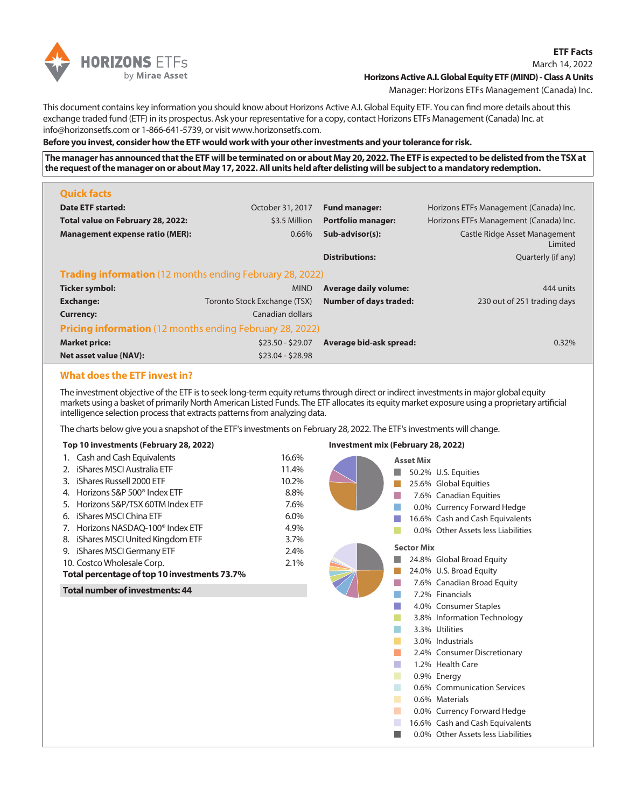

# March 14, 2022 **Horizons Active A.I. Global Equity ETF (MIND) - Class A Units**

Manager: Horizons ETFs Management (Canada) Inc.

**ETF Facts**

This document contains key information you should know about Horizons Active A.I. Global Equity ETF. You can find more details about this exchange traded fund (ETF) in its prospectus. Ask your representative for a copy, contact Horizons ETFs Management (Canada) Inc. at info@horizonsetfs.com or 1-866-641-5739, or visit www.horizonsetfs.com.

### **Before you invest, consider how the ETF would work with your other investments and your tolerance for risk.**

**The manager has announced that the ETF will be terminated on or about May 20, 2022. The ETF is expected to be delisted from the TSX at the request of the manager on or about May 17, 2022. All units held after delisting will be subject to a mandatory redemption.**

| <b>Quick facts</b>                                              |                              |                               |                                          |  |
|-----------------------------------------------------------------|------------------------------|-------------------------------|------------------------------------------|--|
| <b>Date ETF started:</b>                                        | October 31, 2017             | <b>Fund manager:</b>          | Horizons ETFs Management (Canada) Inc.   |  |
| Total value on February 28, 2022:                               | \$3.5 Million                | <b>Portfolio manager:</b>     | Horizons ETFs Management (Canada) Inc.   |  |
| <b>Management expense ratio (MER):</b>                          | 0.66%                        | Sub-advisor(s):               | Castle Ridge Asset Management<br>Limited |  |
|                                                                 |                              | <b>Distributions:</b>         | Quarterly (if any)                       |  |
| <b>Trading information</b> (12 months ending February 28, 2022) |                              |                               |                                          |  |
| <b>Ticker symbol:</b>                                           | <b>MIND</b>                  | <b>Average daily volume:</b>  | 444 units                                |  |
| <b>Exchange:</b>                                                | Toronto Stock Exchange (TSX) | <b>Number of days traded:</b> | 230 out of 251 trading days              |  |
| <b>Currency:</b>                                                | Canadian dollars             |                               |                                          |  |
| <b>Pricing information</b> (12 months ending February 28, 2022) |                              |                               |                                          |  |
| <b>Market price:</b>                                            | $$23.50 - $29.07$            | Average bid-ask spread:       | 0.32%                                    |  |
| Net asset value {NAV}:                                          | $$23.04 - $28.98$            |                               |                                          |  |

# **What does the ETF invest in?**

The investment objective of the ETF is to seek long-term equity returns through direct or indirect investments in major global equity markets using a basket of primarily North American Listed Funds. The ETF allocates its equity market exposure using a proprietary artificial intelligence selection process that extracts patterns from analyzing data.

The charts below give you a snapshot of the ETF's investments on February 28, 2022. The ETF's investments will change.

#### **Top 10 investments (February 28, 2022)**

|                            | 1. Cash and Cash Equivalents                  | 16.6% |
|----------------------------|-----------------------------------------------|-------|
|                            | 2. iShares MSCI Australia ETF                 | 11.4% |
|                            | 3. iShares Russell 2000 ETF                   | 10.2% |
|                            | 4. Horizons S&P 500 <sup>®</sup> Index ETF    | 8.8%  |
|                            | 5. Horizons S&P/TSX 60TM Index ETF            | 7.6%  |
|                            | 6. iShares MSCI China ETF                     | 6.0%  |
|                            | 7. Horizons NASDAQ-100 <sup>®</sup> Index ETF | 4.9%  |
|                            | 8. iShares MSCI United Kingdom ETF            | 3.7%  |
|                            | 9. iShares MSCI Germany ETF                   | 2.4%  |
| 10. Costco Wholesale Corp. |                                               | 2.1%  |
|                            | Total percentage of top 10 investments 73.7%  |       |
|                            | <b>Total number of investments: 44</b>        |       |

#### **Investment mix (February 28, 2022)**

| <b>Asset Mix</b>        | 50.2% U.S. Equities<br>25.6% Global Equities<br>7.6% Canadian Equities<br>0.0% Currency Forward Hedge<br>16.6% Cash and Cash Equivalents<br>0.0% Other Assets less Liabilities                                                                                                                                                                                                                                                 |
|-------------------------|--------------------------------------------------------------------------------------------------------------------------------------------------------------------------------------------------------------------------------------------------------------------------------------------------------------------------------------------------------------------------------------------------------------------------------|
| <b>Sector Mix</b><br>H. | 24.8% Global Broad Equity<br>24.0% U.S. Broad Equity<br>7.6% Canadian Broad Equity<br>7.2% Financials<br>4.0% Consumer Staples<br>3.8% Information Technology<br>3.3% Utilities<br>3.0% Industrials<br>2.4% Consumer Discretionary<br>1.2% Health Care<br>0.9% Energy<br>0.6% Communication Services<br>0.6% Materials<br>0.0% Currency Forward Hedge<br>16.6% Cash and Cash Equivalents<br>0.0% Other Assets less Liabilities |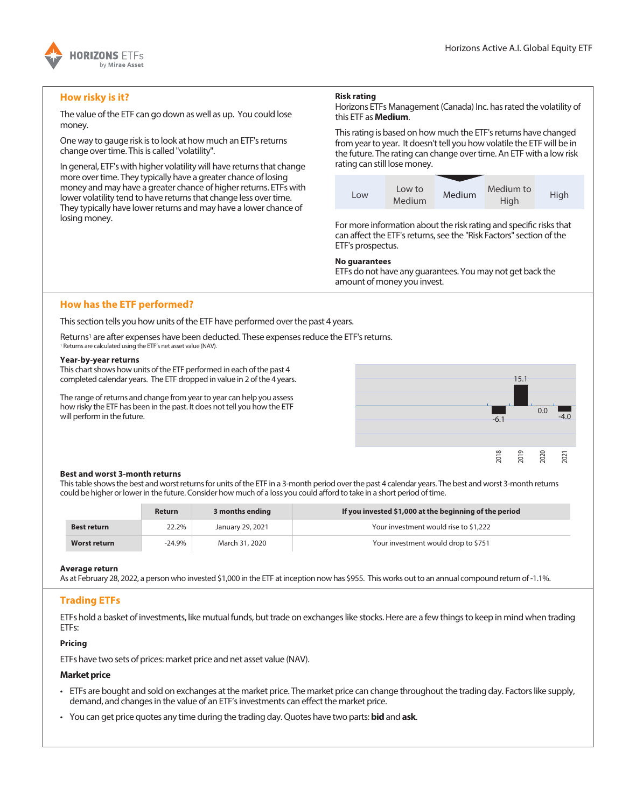

# **How risky is it?**

The value of the ETF can go down as well as up. You could lose money.

One way to gauge risk is to look at how much an ETF's returns change over time. This is called "volatility".

In general, ETF's with higher volatility will have returns that change more over time. They typically have a greater chance of losing money and may have a greater chance of higher returns. ETFs with lower volatility tend to have returns that change less over time. They typically have lower returns and may have a lower chance of losing money.

# **Risk rating**

Horizons ETFs Management (Canada) Inc. has rated the volatility of this ETF as **Medium**.

This rating is based on how much the ETF's returns have changed from year to year. It doesn't tell you how volatile the ETF will be in the future. The rating can change over time. An ETF with a low risk rating can still lose money.



For more information about the risk rating and specific risks that can affect the ETF's returns, see the "Risk Factors" section of the ETF's prospectus.

#### **No guarantees**

ETFs do not have any guarantees. You may not get back the amount of money you invest.

# **How has the ETF performed?**

This section tells you how units of the ETF have performed over the past 4 years.

Returns<sup>1</sup> are after expenses have been deducted. These expenses reduce the ETF's returns. <sup>1</sup> Returns are calculated using the ETF's net asset value (NAV).

### **Year-by-year returns**

This chart shows how units of the ETF performed in each of the past 4 completed calendar years. The ETF dropped in value in 2 of the 4 years.

The range of returns and change from year to year can help you assess how risky the ETF has been in the past. It does not tell you how the ETF will perform in the future.



#### **Best and worst 3-month returns**

This table shows the best and worst returns for units of the ETF in a 3-month period over the past 4 calendar years. The best and worst 3-month returns could be higher or lower in the future. Consider how much of a loss you could afford to take in a short period of time.

|                    | <b>Return</b> | 3 months ending  | If you invested \$1,000 at the beginning of the period |
|--------------------|---------------|------------------|--------------------------------------------------------|
| <b>Best return</b> | 22.2%         | January 29, 2021 | Your investment would rise to \$1.222                  |
| Worst return       | $-24.9%$      | March 31, 2020   | Your investment would drop to \$751                    |

#### **Average return**

As at February 28, 2022, a person who invested \$1,000 in the ETF at inception now has \$955. This works out to an annual compound return of -1.1%.

# **Trading ETFs**

ETFs hold a basket of investments, like mutual funds, but trade on exchanges like stocks. Here are a few things to keep in mind when trading ETFs:

#### **Pricing**

ETFs have two sets of prices: market price and net asset value (NAV).

#### **Market price**

- ETFs are bought and sold on exchanges at the market price. The market price can change throughout the trading day. Factors like supply, demand, and changes in the value of an ETF's investments can effect the market price.
- You can get price quotes any time during the trading day. Quotes have two parts: **bid** and **ask**.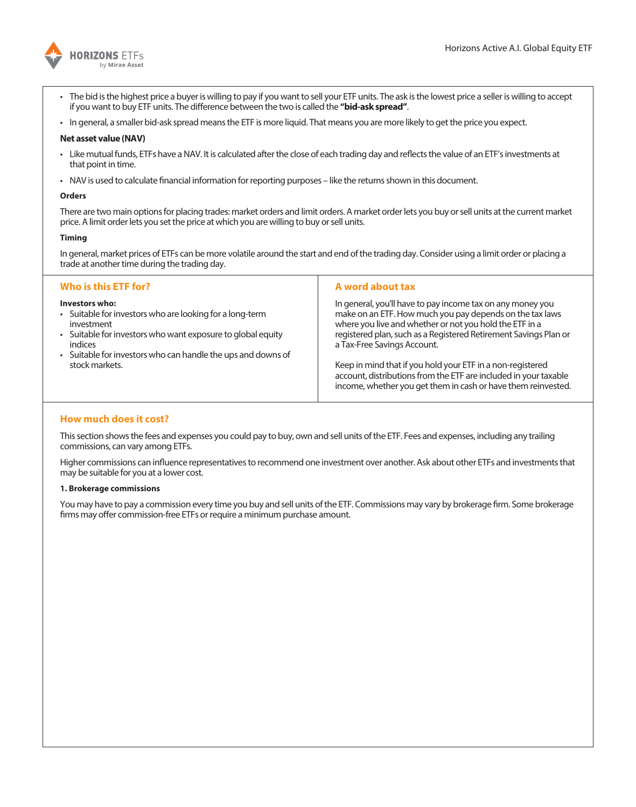

- The bid is the highest price a buyer is willing to pay if you want to sell your ETF units. The ask is the lowest price a seller is willing to accept if you want to buy ETF units. The difference between the two is called the **"bid-ask spread"**.
- In general, a smaller bid-ask spread means the ETF is more liquid. That means you are more likely to get the price you expect.

### **Net asset value (NAV)**

- Like mutual funds, ETFs have a NAV. It is calculated after the close of each trading day and reflects the value of an ETF's investments at that point in time.
- NAV is used to calculate financial information for reporting purposes like the returns shown in this document.

### **Orders**

There are two main options for placing trades: market orders and limit orders. A market order lets you buy or sell units at the current market price. A limit order lets you set the price at which you are willing to buy or sell units.

## **Timing**

In general, market prices of ETFs can be more volatile around the start and end of the trading day. Consider using a limit order or placing a trade at another time during the trading day.

| Who is this ETF for?                                                                                                                                                                                                                                 | A word about tax                                                                                                                                                                                                                                                                                                                                   |
|------------------------------------------------------------------------------------------------------------------------------------------------------------------------------------------------------------------------------------------------------|----------------------------------------------------------------------------------------------------------------------------------------------------------------------------------------------------------------------------------------------------------------------------------------------------------------------------------------------------|
| Investors who:<br>• Suitable for investors who are looking for a long-term<br>investment<br>• Suitable for investors who want exposure to global equity<br>indices<br>• Suitable for investors who can handle the ups and downs of<br>stock markets. | In general, you'll have to pay income tax on any money you<br>make on an ETF. How much you pay depends on the tax laws<br>where you live and whether or not you hold the ETF in a<br>registered plan, such as a Registered Retirement Savings Plan or<br>a Tax-Free Savings Account.<br>Keep in mind that if you hold your ETF in a non-registered |
|                                                                                                                                                                                                                                                      | account, distributions from the ETF are included in your taxable<br>income, whether you get them in cash or have them reinvested.                                                                                                                                                                                                                  |

# **How much does it cost?**

This section shows the fees and expenses you could pay to buy, own and sell units of the ETF. Fees and expenses, including any trailing commissions, can vary among ETFs.

Higher commissions can influence representatives to recommend one investment over another. Ask about other ETFs and investments that may be suitable for you at a lower cost.

## **1. Brokerage commissions**

You may have to pay a commission every time you buy and sell units of the ETF. Commissions may vary by brokerage firm. Some brokerage firms may offer commission-free ETFs or require a minimum purchase amount.